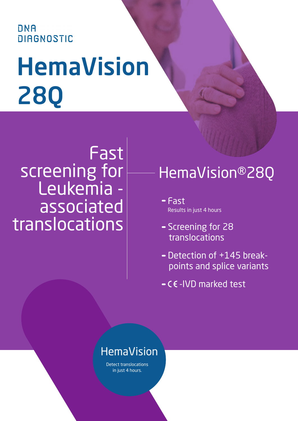### ONA **DIAGNOSTIC**

# HemaVision 28Q

## Fast screening for Leukemia associated translocations

## HemaVision®28Q

- Fast Results in just 4 hours
- Screening for 28 translocations
- Detection of +145 breakpoints and splice variants
- $-CE$ -IVD marked test

### HemaVision

Detect translocations in just 4 hours.